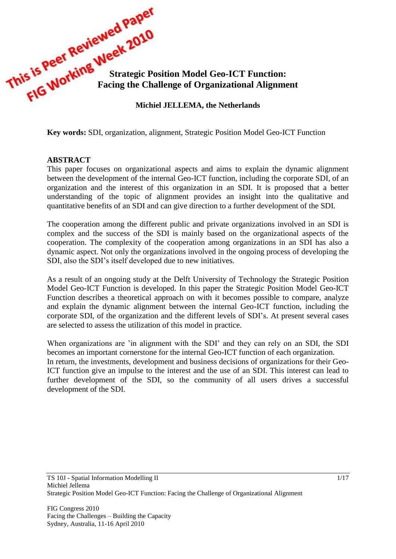

**Key words:** SDI, organization, alignment, Strategic Position Model Geo-ICT Function

#### **ABSTRACT**

This paper focuses on organizational aspects and aims to explain the dynamic alignment between the development of the internal Geo-ICT function, including the corporate SDI, of an organization and the interest of this organization in an SDI. It is proposed that a better understanding of the topic of alignment provides an insight into the qualitative and quantitative benefits of an SDI and can give direction to a further development of the SDI.

The cooperation among the different public and private organizations involved in an SDI is complex and the success of the SDI is mainly based on the organizational aspects of the cooperation. The complexity of the cooperation among organizations in an SDI has also a dynamic aspect. Not only the organizations involved in the ongoing process of developing the SDI, also the SDI's itself developed due to new initiatives.

As a result of an ongoing study at the Delft University of Technology the Strategic Position Model Geo-ICT Function is developed. In this paper the Strategic Position Model Geo-ICT Function describes a theoretical approach on with it becomes possible to compare, analyze and explain the dynamic alignment between the internal Geo-ICT function, including the corporate SDI, of the organization and the different levels of SDI's. At present several cases are selected to assess the utilization of this model in practice.

When organizations are 'in alignment with the SDI' and they can rely on an SDI, the SDI becomes an important cornerstone for the internal Geo-ICT function of each organization. In return, the investments, development and business decisions of organizations for their Geo-ICT function give an impulse to the interest and the use of an SDI. This interest can lead to further development of the SDI, so the community of all users drives a successful development of the SDI.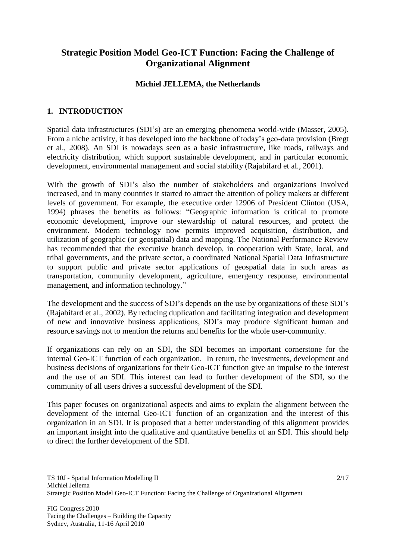# **Strategic Position Model Geo-ICT Function: Facing the Challenge of Organizational Alignment**

## **Michiel JELLEMA, the Netherlands**

# **1. INTRODUCTION**

Spatial data infrastructures (SDI's) are an emerging phenomena world-wide (Masser, 2005). From a niche activity, it has developed into the backbone of today's geo-data provision (Bregt et al., 2008). An SDI is nowadays seen as a basic infrastructure, like roads, railways and electricity distribution, which support sustainable development, and in particular economic development, environmental management and social stability (Rajabifard et al., 2001).

With the growth of SDI's also the number of stakeholders and organizations involved increased, and in many countries it started to attract the attention of policy makers at different levels of government. For example, the executive order 12906 of President Clinton (USA, 1994) phrases the benefits as follows: "Geographic information is critical to promote economic development, improve our stewardship of natural resources, and protect the environment. Modern technology now permits improved acquisition, distribution, and utilization of geographic (or geospatial) data and mapping. The National Performance Review has recommended that the executive branch develop, in cooperation with State, local, and tribal governments, and the private sector, a coordinated National Spatial Data Infrastructure to support public and private sector applications of geospatial data in such areas as transportation, community development, agriculture, emergency response, environmental management, and information technology."

The development and the success of SDI's depends on the use by organizations of these SDI's (Rajabifard et al., 2002). By reducing duplication and facilitating integration and development of new and innovative business applications, SDI's may produce significant human and resource savings not to mention the returns and benefits for the whole user-community.

If organizations can rely on an SDI, the SDI becomes an important cornerstone for the internal Geo-ICT function of each organization. In return, the investments, development and business decisions of organizations for their Geo-ICT function give an impulse to the interest and the use of an SDI. This interest can lead to further development of the SDI, so the community of all users drives a successful development of the SDI.

This paper focuses on organizational aspects and aims to explain the alignment between the development of the internal Geo-ICT function of an organization and the interest of this organization in an SDI. It is proposed that a better understanding of this alignment provides an important insight into the qualitative and quantitative benefits of an SDI. This should help to direct the further development of the SDI.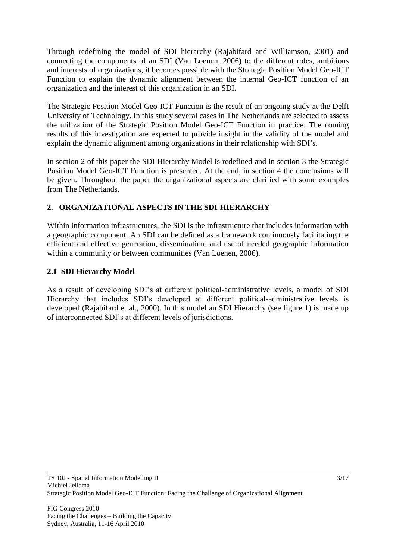Through redefining the model of SDI hierarchy (Rajabifard and Williamson, 2001) and connecting the components of an SDI (Van Loenen, 2006) to the different roles, ambitions and interests of organizations, it becomes possible with the Strategic Position Model Geo-ICT Function to explain the dynamic alignment between the internal Geo-ICT function of an organization and the interest of this organization in an SDI.

The Strategic Position Model Geo-ICT Function is the result of an ongoing study at the Delft University of Technology. In this study several cases in The Netherlands are selected to assess the utilization of the Strategic Position Model Geo-ICT Function in practice. The coming results of this investigation are expected to provide insight in the validity of the model and explain the dynamic alignment among organizations in their relationship with SDI's.

In section 2 of this paper the SDI Hierarchy Model is redefined and in section 3 the Strategic Position Model Geo-ICT Function is presented. At the end, in section 4 the conclusions will be given. Throughout the paper the organizational aspects are clarified with some examples from The Netherlands.

# **2. ORGANIZATIONAL ASPECTS IN THE SDI-HIERARCHY**

Within information infrastructures, the SDI is the infrastructure that includes information with a geographic component. An SDI can be defined as a framework continuously facilitating the efficient and effective generation, dissemination, and use of needed geographic information within a community or between communities (Van Loenen, 2006).

# **2.1 SDI Hierarchy Model**

As a result of developing SDI's at different political-administrative levels, a model of SDI Hierarchy that includes SDI's developed at different political-administrative levels is developed (Rajabifard et al., 2000). In this model an SDI Hierarchy (see figure 1) is made up of interconnected SDI's at different levels of jurisdictions.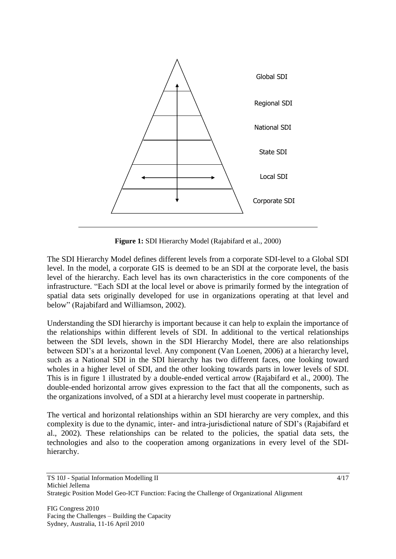

**Figure 1:** SDI Hierarchy Model (Rajabifard et al., 2000)

The SDI Hierarchy Model defines different levels from a corporate SDI-level to a Global SDI level. In the model, a corporate GIS is deemed to be an SDI at the corporate level, the basis level of the hierarchy. Each level has its own characteristics in the core components of the infrastructure. "Each SDI at the local level or above is primarily formed by the integration of spatial data sets originally developed for use in organizations operating at that level and below" (Rajabifard and Williamson, 2002).

Understanding the SDI hierarchy is important because it can help to explain the importance of the relationships within different levels of SDI. In additional to the vertical relationships between the SDI levels, shown in the SDI Hierarchy Model, there are also relationships between SDI's at a horizontal level. Any component (Van Loenen, 2006) at a hierarchy level, such as a National SDI in the SDI hierarchy has two different faces, one looking toward wholes in a higher level of SDI, and the other looking towards parts in lower levels of SDI. This is in figure 1 illustrated by a double-ended vertical arrow (Rajabifard et al., 2000). The double-ended horizontal arrow gives expression to the fact that all the components, such as the organizations involved, of a SDI at a hierarchy level must cooperate in partnership.

The vertical and horizontal relationships within an SDI hierarchy are very complex, and this complexity is due to the dynamic, inter- and intra-jurisdictional nature of SDI's (Rajabifard et al., 2002). These relationships can be related to the policies, the spatial data sets, the technologies and also to the cooperation among organizations in every level of the SDIhierarchy.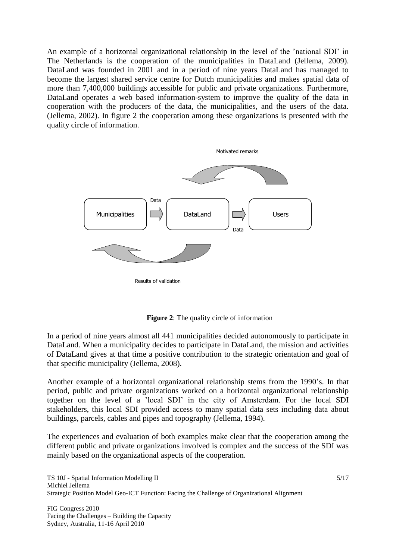An example of a horizontal organizational relationship in the level of the 'national SDI' in The Netherlands is the cooperation of the municipalities in DataLand (Jellema, 2009). DataLand was founded in 2001 and in a period of nine years DataLand has managed to become the largest shared service centre for Dutch municipalities and makes spatial data of more than 7,400,000 buildings accessible for public and private organizations. Furthermore, DataLand operates a web based information-system to improve the quality of the data in cooperation with the producers of the data, the municipalities, and the users of the data. (Jellema, 2002). In figure 2 the cooperation among these organizations is presented with the quality circle of information.



**Figure 2**: The quality circle of information

In a period of nine years almost all 441 municipalities decided autonomously to participate in DataLand. When a municipality decides to participate in DataLand, the mission and activities of DataLand gives at that time a positive contribution to the strategic orientation and goal of that specific municipality (Jellema, 2008).

Another example of a horizontal organizational relationship stems from the 1990's. In that period, public and private organizations worked on a horizontal organizational relationship together on the level of a 'local SDI' in the city of Amsterdam. For the local SDI stakeholders, this local SDI provided access to many spatial data sets including data about buildings, parcels, cables and pipes and topography (Jellema, 1994).

The experiences and evaluation of both examples make clear that the cooperation among the different public and private organizations involved is complex and the success of the SDI was mainly based on the organizational aspects of the cooperation.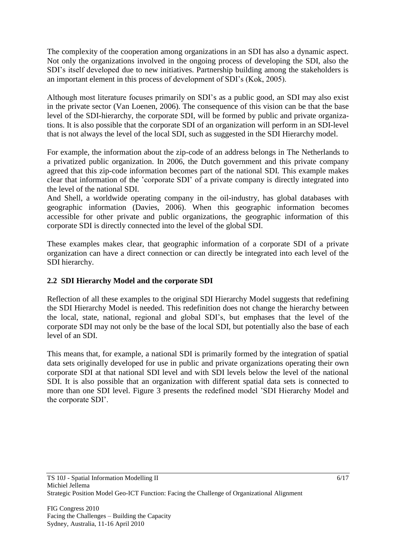The complexity of the cooperation among organizations in an SDI has also a dynamic aspect. Not only the organizations involved in the ongoing process of developing the SDI, also the SDI's itself developed due to new initiatives. Partnership building among the stakeholders is an important element in this process of development of SDI's (Kok, 2005).

Although most literature focuses primarily on SDI's as a public good, an SDI may also exist in the private sector (Van Loenen, 2006). The consequence of this vision can be that the base level of the SDI-hierarchy, the corporate SDI, will be formed by public and private organizations. It is also possible that the corporate SDI of an organization will perform in an SDI-level that is not always the level of the local SDI, such as suggested in the SDI Hierarchy model.

For example, the information about the zip-code of an address belongs in The Netherlands to a privatized public organization. In 2006, the Dutch government and this private company agreed that this zip-code information becomes part of the national SDI. This example makes clear that information of the 'corporate SDI' of a private company is directly integrated into the level of the national SDI.

And Shell, a worldwide operating company in the oil-industry, has global databases with geographic information (Davies, 2006). When this geographic information becomes accessible for other private and public organizations, the geographic information of this corporate SDI is directly connected into the level of the global SDI.

These examples makes clear, that geographic information of a corporate SDI of a private organization can have a direct connection or can directly be integrated into each level of the SDI hierarchy.

## **2.2 SDI Hierarchy Model and the corporate SDI**

Reflection of all these examples to the original SDI Hierarchy Model suggests that redefining the SDI Hierarchy Model is needed. This redefinition does not change the hierarchy between the local, state, national, regional and global SDI's, but emphases that the level of the corporate SDI may not only be the base of the local SDI, but potentially also the base of each level of an SDI.

This means that, for example, a national SDI is primarily formed by the integration of spatial data sets originally developed for use in public and private organizations operating their own corporate SDI at that national SDI level and with SDI levels below the level of the national SDI. It is also possible that an organization with different spatial data sets is connected to more than one SDI level. Figure 3 presents the redefined model 'SDI Hierarchy Model and the corporate SDI'.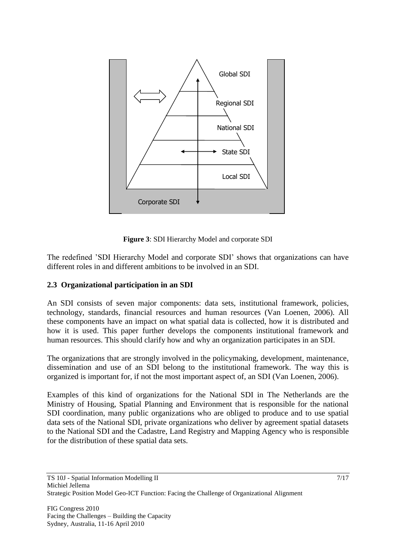

**Figure 3**: SDI Hierarchy Model and corporate SDI

The redefined 'SDI Hierarchy Model and corporate SDI' shows that organizations can have different roles in and different ambitions to be involved in an SDI.

### **2.3 Organizational participation in an SDI**

An SDI consists of seven major components: data sets, institutional framework, policies, technology, standards, financial resources and human resources (Van Loenen, 2006). All these components have an impact on what spatial data is collected, how it is distributed and how it is used. This paper further develops the components institutional framework and human resources. This should clarify how and why an organization participates in an SDI.

The organizations that are strongly involved in the policymaking, development, maintenance, dissemination and use of an SDI belong to the institutional framework. The way this is organized is important for, if not the most important aspect of, an SDI (Van Loenen, 2006).

Examples of this kind of organizations for the National SDI in The Netherlands are the Ministry of Housing, Spatial Planning and Environment that is responsible for the national SDI coordination, many public organizations who are obliged to produce and to use spatial data sets of the National SDI, private organizations who deliver by agreement spatial datasets to the National SDI and the Cadastre, Land Registry and Mapping Agency who is responsible for the distribution of these spatial data sets.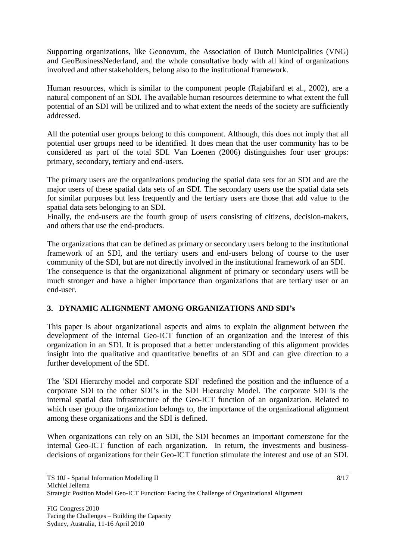Supporting organizations, like Geonovum, the Association of Dutch Municipalities (VNG) and GeoBusinessNederland, and the whole consultative body with all kind of organizations involved and other stakeholders, belong also to the institutional framework.

Human resources, which is similar to the component people (Rajabifard et al., 2002), are a natural component of an SDI. The available human resources determine to what extent the full potential of an SDI will be utilized and to what extent the needs of the society are sufficiently addressed.

All the potential user groups belong to this component. Although, this does not imply that all potential user groups need to be identified. It does mean that the user community has to be considered as part of the total SDI. Van Loenen (2006) distinguishes four user groups: primary, secondary, tertiary and end-users.

The primary users are the organizations producing the spatial data sets for an SDI and are the major users of these spatial data sets of an SDI. The secondary users use the spatial data sets for similar purposes but less frequently and the tertiary users are those that add value to the spatial data sets belonging to an SDI.

Finally, the end-users are the fourth group of users consisting of citizens, decision-makers, and others that use the end-products.

The organizations that can be defined as primary or secondary users belong to the institutional framework of an SDI, and the tertiary users and end-users belong of course to the user community of the SDI, but are not directly involved in the institutional framework of an SDI. The consequence is that the organizational alignment of primary or secondary users will be much stronger and have a higher importance than organizations that are tertiary user or an end-user.

### **3. DYNAMIC ALIGNMENT AMONG ORGANIZATIONS AND SDI's**

This paper is about organizational aspects and aims to explain the alignment between the development of the internal Geo-ICT function of an organization and the interest of this organization in an SDI. It is proposed that a better understanding of this alignment provides insight into the qualitative and quantitative benefits of an SDI and can give direction to a further development of the SDI.

The 'SDI Hierarchy model and corporate SDI' redefined the position and the influence of a corporate SDI to the other SDI's in the SDI Hierarchy Model. The corporate SDI is the internal spatial data infrastructure of the Geo-ICT function of an organization. Related to which user group the organization belongs to, the importance of the organizational alignment among these organizations and the SDI is defined.

When organizations can rely on an SDI, the SDI becomes an important cornerstone for the internal Geo-ICT function of each organization. In return, the investments and businessdecisions of organizations for their Geo-ICT function stimulate the interest and use of an SDI.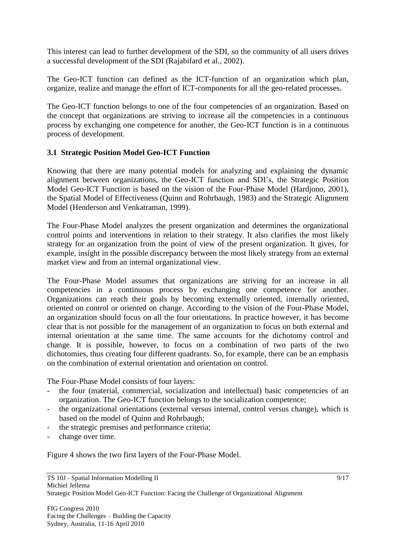This interest can lead to further development of the SDI, so the community of all users drives a successful development of the SDI (Rajabifard et al., 2002).

The Geo-ICT function can defined as the ICT-function of an organization which plan, organize, realize and manage the effort of ICT-components for all the geo-related processes.

The Geo-ICT function belongs to one of the four competencies of an organization. Based on the concept that organizations are striving to increase all the competencies in a continuous process by exchanging one competence for another, the Geo-ICT function is in a continuous process of development.

### **3.1 Strategic Position Model Geo-ICT Function**

Knowing that there are many potential models for analyzing and explaining the dynamic alignment between organizations, the Geo-ICT function and SDI's, the Strategic Position Model Geo-ICT Function is based on the vision of the Four-Phase Model (Hardjono, 2001), the Spatial Model of Effectiveness (Quinn and Rohrbaugh, 1983) and the Strategic Alignment Model (Henderson and Venkatraman, 1999).

The Four-Phase Model analyzes the present organization and determines the organizational control points and interventions in relation to their strategy. It also clarifies the most likely strategy for an organization from the point of view of the present organization. It gives, for example, insight in the possible discrepancy between the most likely strategy from an external market view and from an internal organizational view.

The Four-Phase Model assumes that organizations are striving for an increase in all competencies in a continuous process by exchanging one competence for another. Organizations can reach their goals by becoming externally oriented, internally oriented, oriented on control or oriented on change. According to the vision of the Four-Phase Model, an organization should focus on all the four orientations. In practice however, it has become clear that is not possible for the management of an organization to focus on both external and internal orientation at the same time. The same accounts for the dichotomy control and change. It is possible, however, to focus on a combination of two parts of the two dichotomies, thus creating four different quadrants. So, for example, there can be an emphasis on the combination of external orientation and orientation on control.

The Four-Phase Model consists of four layers:

- the four (material, commercial, socialization and intellectual) basic competencies of an organization. The Geo-ICT function belongs to the socialization competence;
- the organizational orientations (external versus internal, control versus change), which is based on the model of Quinn and Rohrbaugh;
- the strategic premises and performance criteria;
- change over time.

Figure 4 shows the two first layers of the Four-Phase Model.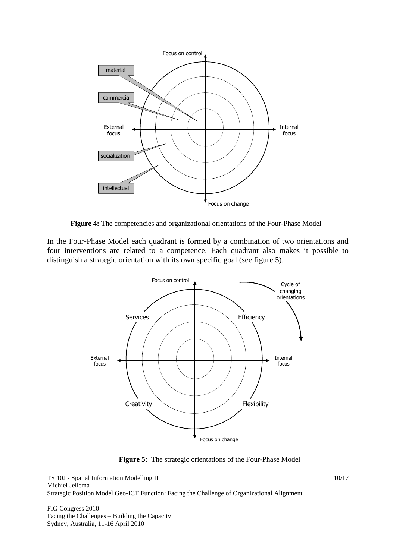

**Figure 4:** The competencies and organizational orientations of the Four-Phase Model

In the Four-Phase Model each quadrant is formed by a combination of two orientations and four interventions are related to a competence. Each quadrant also makes it possible to distinguish a strategic orientation with its own specific goal (see figure 5).



**Figure 5:** The strategic orientations of the Four-Phase Model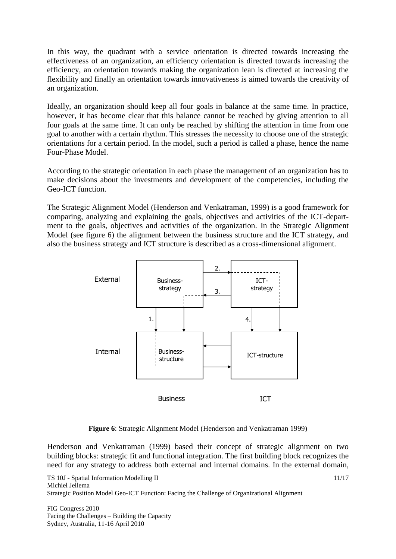In this way, the quadrant with a service orientation is directed towards increasing the effectiveness of an organization, an efficiency orientation is directed towards increasing the efficiency, an orientation towards making the organization lean is directed at increasing the flexibility and finally an orientation towards innovativeness is aimed towards the creativity of an organization.

Ideally, an organization should keep all four goals in balance at the same time. In practice, however, it has become clear that this balance cannot be reached by giving attention to all four goals at the same time. It can only be reached by shifting the attention in time from one goal to another with a certain rhythm. This stresses the necessity to choose one of the strategic orientations for a certain period. In the model, such a period is called a phase, hence the name Four-Phase Model.

According to the strategic orientation in each phase the management of an organization has to make decisions about the investments and development of the competencies, including the Geo-ICT function.

The Strategic Alignment Model (Henderson and Venkatraman, 1999) is a good framework for comparing, analyzing and explaining the goals, objectives and activities of the ICT-department to the goals, objectives and activities of the organization. In the Strategic Alignment Model (see figure 6) the alignment between the business structure and the ICT strategy, and also the business strategy and ICT structure is described as a cross-dimensional alignment.



**Figure 6**: Strategic Alignment Model (Henderson and Venkatraman 1999)

Henderson and Venkatraman (1999) based their concept of strategic alignment on two building blocks: strategic fit and functional integration. The first building block recognizes the need for any strategy to address both external and internal domains. In the external domain,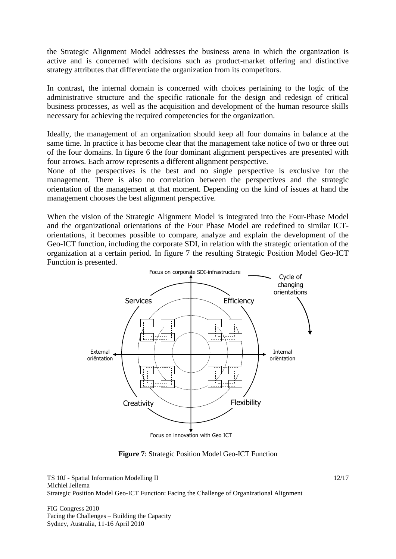the Strategic Alignment Model addresses the business arena in which the organization is active and is concerned with decisions such as product-market offering and distinctive strategy attributes that differentiate the organization from its competitors.

In contrast, the internal domain is concerned with choices pertaining to the logic of the administrative structure and the specific rationale for the design and redesign of critical business processes, as well as the acquisition and development of the human resource skills necessary for achieving the required competencies for the organization.

Ideally, the management of an organization should keep all four domains in balance at the same time. In practice it has become clear that the management take notice of two or three out of the four domains. In figure 6 the four dominant alignment perspectives are presented with four arrows. Each arrow represents a different alignment perspective.

None of the perspectives is the best and no single perspective is exclusive for the management. There is also no correlation between the perspectives and the strategic orientation of the management at that moment. Depending on the kind of issues at hand the management chooses the best alignment perspective.

When the vision of the Strategic Alignment Model is integrated into the Four-Phase Model and the organizational orientations of the Four Phase Model are redefined to similar ICTorientations, it becomes possible to compare, analyze and explain the development of the Geo-ICT function, including the corporate SDI, in relation with the strategic orientation of the organization at a certain period. In figure 7 the resulting Strategic Position Model Geo-ICT Function is presented.



**Figure 7**: Strategic Position Model Geo-ICT Function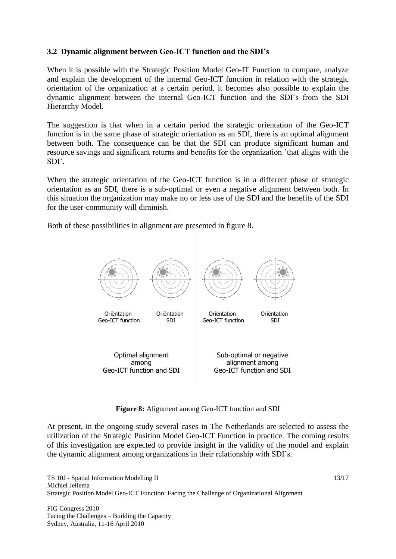## **3.2 Dynamic alignment between Geo-ICT function and the SDI's**

When it is possible with the Strategic Position Model Geo-IT Function to compare, analyze and explain the development of the internal Geo-ICT function in relation with the strategic orientation of the organization at a certain period, it becomes also possible to explain the dynamic alignment between the internal Geo-ICT function and the SDI's from the SDI Hierarchy Model.

The suggestion is that when in a certain period the strategic orientation of the Geo-ICT function is in the same phase of strategic orientation as an SDI, there is an optimal alignment between both. The consequence can be that the SDI can produce significant human and resource savings and significant returns and benefits for the organization 'that aligns with the SDI'.

When the strategic orientation of the Geo-ICT function is in a different phase of strategic orientation as an SDI, there is a sub-optimal or even a negative alignment between both. In this situation the organization may make no or less use of the SDI and the benefits of the SDI for the user-community will diminish.

Both of these possibilities in alignment are presented in figure 8.



**Figure 8:** Alignment among Geo-ICT function and SDI

At present, in the ongoing study several cases in The Netherlands are selected to assess the utilization of the Strategic Position Model Geo-ICT Function in practice. The coming results of this investigation are expected to provide insight in the validity of the model and explain the dynamic alignment among organizations in their relationship with SDI's.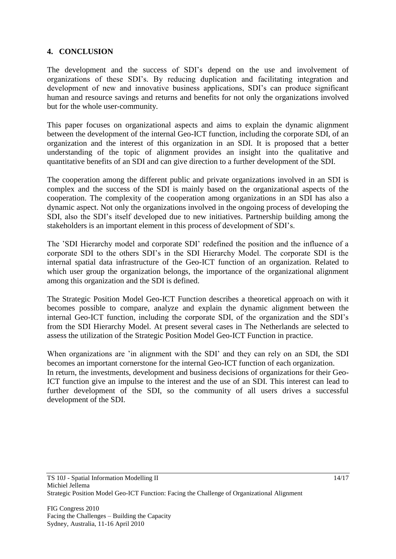## **4. CONCLUSION**

The development and the success of SDI's depend on the use and involvement of organizations of these SDI's. By reducing duplication and facilitating integration and development of new and innovative business applications, SDI's can produce significant human and resource savings and returns and benefits for not only the organizations involved but for the whole user-community.

This paper focuses on organizational aspects and aims to explain the dynamic alignment between the development of the internal Geo-ICT function, including the corporate SDI, of an organization and the interest of this organization in an SDI. It is proposed that a better understanding of the topic of alignment provides an insight into the qualitative and quantitative benefits of an SDI and can give direction to a further development of the SDI.

The cooperation among the different public and private organizations involved in an SDI is complex and the success of the SDI is mainly based on the organizational aspects of the cooperation. The complexity of the cooperation among organizations in an SDI has also a dynamic aspect. Not only the organizations involved in the ongoing process of developing the SDI, also the SDI's itself developed due to new initiatives. Partnership building among the stakeholders is an important element in this process of development of SDI's.

The 'SDI Hierarchy model and corporate SDI' redefined the position and the influence of a corporate SDI to the others SDI's in the SDI Hierarchy Model. The corporate SDI is the internal spatial data infrastructure of the Geo-ICT function of an organization. Related to which user group the organization belongs, the importance of the organizational alignment among this organization and the SDI is defined.

The Strategic Position Model Geo-ICT Function describes a theoretical approach on with it becomes possible to compare, analyze and explain the dynamic alignment between the internal Geo-ICT function, including the corporate SDI, of the organization and the SDI's from the SDI Hierarchy Model. At present several cases in The Netherlands are selected to assess the utilization of the Strategic Position Model Geo-ICT Function in practice.

When organizations are 'in alignment with the SDI' and they can rely on an SDI, the SDI becomes an important cornerstone for the internal Geo-ICT function of each organization. In return, the investments, development and business decisions of organizations for their Geo-ICT function give an impulse to the interest and the use of an SDI. This interest can lead to further development of the SDI, so the community of all users drives a successful development of the SDI.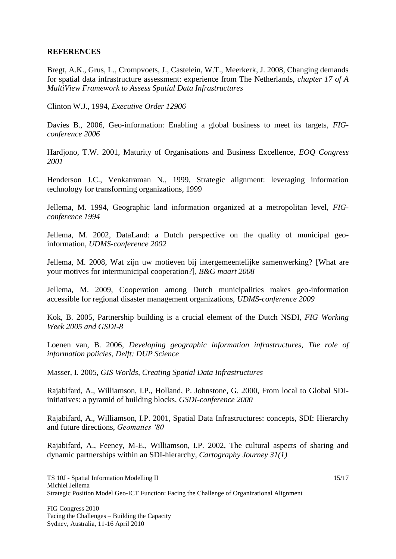#### **REFERENCES**

Bregt, A.K., Grus, L., Crompvoets, J., Castelein, W.T., Meerkerk, J. 2008, Changing demands for spatial data infrastructure assessment: experience from The Netherlands, *chapter 17 of A MultiView Framework to Assess Spatial Data Infrastructures*

Clinton W.J., 1994, *Executive Order 12906*

Davies B., 2006, Geo-information: Enabling a global business to meet its targets, *FIGconference 2006*

Hardjono, T.W. 2001, Maturity of Organisations and Business Excellence, *EOQ Congress 2001*

Henderson J.C., Venkatraman N., 1999, Strategic alignment: leveraging information technology for transforming organizations, 1999

Jellema, M. 1994, Geographic land information organized at a metropolitan level, *FIGconference 1994*

Jellema, M. 2002, DataLand: a Dutch perspective on the quality of municipal geoinformation, *UDMS-conference 2002*

Jellema, M. 2008, Wat zijn uw motieven bij intergemeentelijke samenwerking? [What are your motives for intermunicipal cooperation?], *B&G maart 2008*

Jellema, M. 2009, Cooperation among Dutch municipalities makes geo-information accessible for regional disaster management organizations, *UDMS-conference 2009*

Kok, B. 2005, Partnership building is a crucial element of the Dutch NSDI, *FIG Working Week 2005 and GSDI-8*

Loenen van, B. 2006, *Developing geographic information infrastructures, The role of information policies, Delft: DUP Science*

Masser, I. 2005, *GIS Worlds, Creating Spatial Data Infrastructures*

Rajabifard, A., Williamson, I.P., Holland, P. Johnstone, G. 2000, From local to Global SDIinitiatives: a pyramid of building blocks, *GSDI-conference 2000*

Rajabifard, A., Williamson, I.P. 2001, Spatial Data Infrastructures: concepts, SDI: Hierarchy and future directions, *Geomatics '80*

Rajabifard, A., Feeney, M-E., Williamson, I.P. 2002, The cultural aspects of sharing and dynamic partnerships within an SDI-hierarchy, *Cartography Journey 31(1)*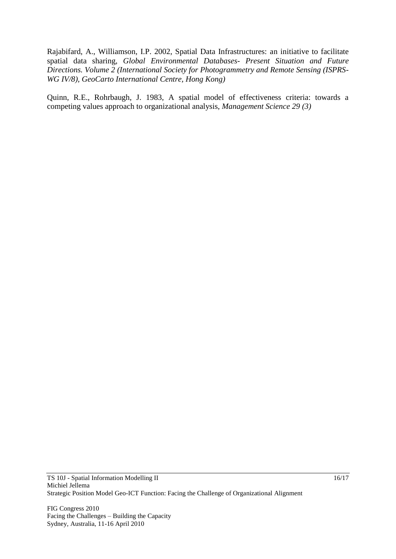Rajabifard, A., Williamson, I.P. 2002, Spatial Data Infrastructures: an initiative to facilitate spatial data sharing, *Global Environmental Databases- Present Situation and Future Directions. Volume 2 (International Society for Photogrammetry and Remote Sensing (ISPRS-WG IV/8), GeoCarto International Centre, Hong Kong)*

Quinn, R.E., Rohrbaugh, J. 1983, A spatial model of effectiveness criteria: towards a competing values approach to organizational analysis, *Management Science 29 (3)*